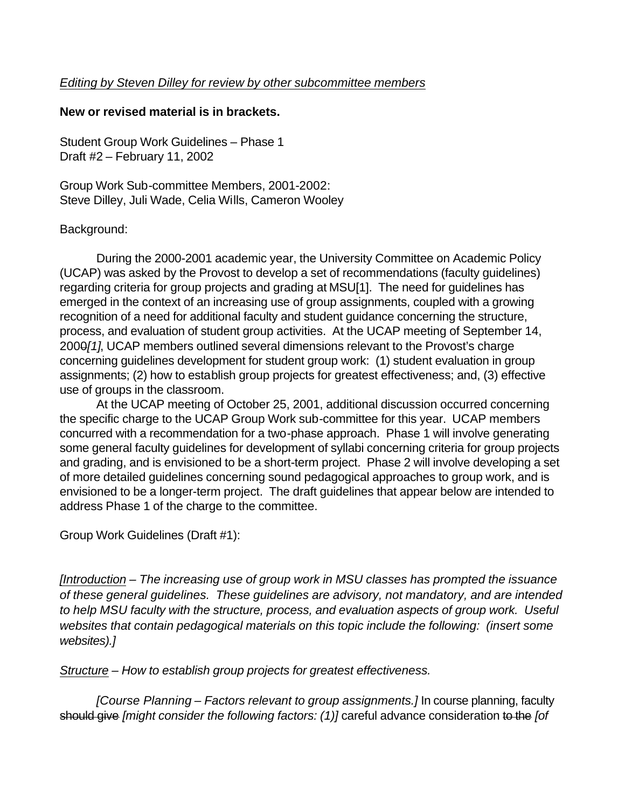## **New or revised material is in brackets.**

Student Group Work Guidelines – Phase 1 Draft #2 – February 11, 2002

Group Work Sub-committee Members, 2001-2002: Steve Dilley, Juli Wade, Celia Wills, Cameron Wooley

## Background:

During the 2000-2001 academic year, the University Committee on Academic Policy (UCAP) was asked by the Provost to develop a set of recommendations (faculty guidelines) regarding criteria for group projects and grading at MSU[1]. The need for guidelines has emerged in the context of an increasing use of group assignments, coupled with a growing recognition of a need for additional faculty and student guidance concerning the structure, process, and evaluation of student group activities. At the UCAP meeting of September 14, 2000*[1]*, UCAP members outlined several dimensions relevant to the Provost's charge concerning guidelines development for student group work: (1) student evaluation in group assignments; (2) how to establish group projects for greatest effectiveness; and, (3) effective use of groups in the classroom.

At the UCAP meeting of October 25, 2001, additional discussion occurred concerning the specific charge to the UCAP Group Work sub-committee for this year. UCAP members concurred with a recommendation for a two-phase approach. Phase 1 will involve generating some general faculty guidelines for development of syllabi concerning criteria for group projects and grading, and is envisioned to be a short-term project. Phase 2 will involve developing a set of more detailed guidelines concerning sound pedagogical approaches to group work, and is envisioned to be a longer-term project. The draft guidelines that appear below are intended to address Phase 1 of the charge to the committee.

Group Work Guidelines (Draft #1):

*[Introduction – The increasing use of group work in MSU classes has prompted the issuance of these general guidelines. These guidelines are advisory, not mandatory, and are intended to help MSU faculty with the structure, process, and evaluation aspects of group work. Useful websites that contain pedagogical materials on this topic include the following: (insert some websites).]* 

*Structure – How to establish group projects for greatest effectiveness.*

*[Course Planning – Factors relevant to group assignments.]* In course planning, faculty should give *[might consider the following factors: (1)]* careful advance consideration to the *[of*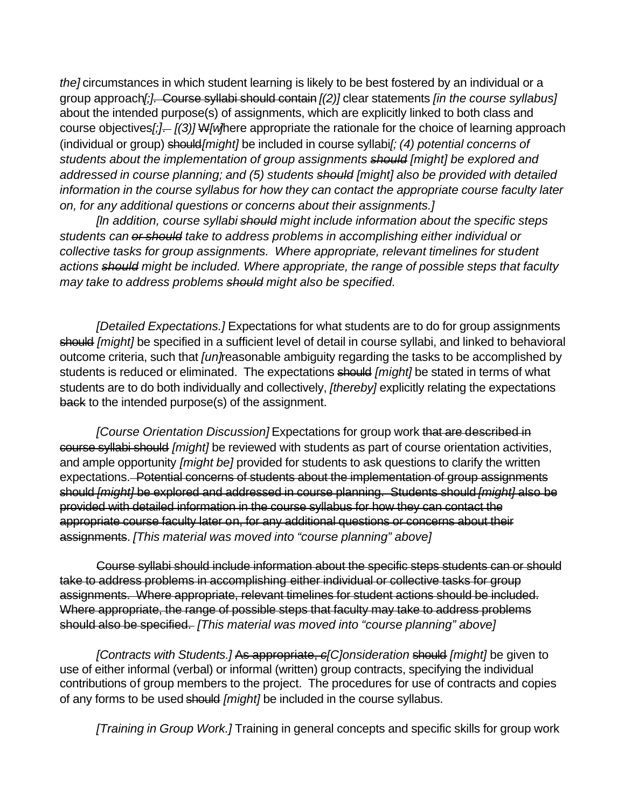*the]* circumstances in which student learning is likely to be best fostered by an individual or a group approach*[;]*. Course syllabi should contain *[(2)]* clear statements *[in the course syllabus]* about the intended purpose(s) of assignments, which are explicitly linked to both class and course objectives*[;]*. *[(3)]* W*[w]*here appropriate the rationale for the choice of learning approach (individual or group) should*[might]* be included in course syllabi*[; (4) potential concerns of students about the implementation of group assignments should [might] be explored and addressed in course planning; and (5) students should [might] also be provided with detailed information in the course syllabus for how they can contact the appropriate course faculty later on, for any additional questions or concerns about their assignments.]*

*[In addition, course syllabi should might include information about the specific steps students can or should take to address problems in accomplishing either individual or collective tasks for group assignments. Where appropriate, relevant timelines for student actions should might be included. Where appropriate, the range of possible steps that faculty may take to address problems should might also be specified.*

*[Detailed Expectations.]* Expectations for what students are to do for group assignments should *[might]* be specified in a sufficient level of detail in course syllabi, and linked to behavioral outcome criteria, such that *[un]*reasonable ambiguity regarding the tasks to be accomplished by students is reduced or eliminated. The expectations should *[might]* be stated in terms of what students are to do both individually and collectively, *[thereby]* explicitly relating the expectations back to the intended purpose(s) of the assignment.

*[Course Orientation Discussion]* Expectations for group work that are described in course syllabi should *[might]* be reviewed with students as part of course orientation activities, and ample opportunity *[might be]* provided for students to ask questions to clarify the written expectations. Potential concerns of students about the implementation of group assignments should *[might]* be explored and addressed in course planning. Students should *[might]* also be provided with detailed information in the course syllabus for how they can contact the appropriate course faculty later on, for any additional questions or concerns about their assignments. *[This material was moved into "course planning" above]*

Course syllabi should include information about the specific steps students can or should take to address problems in accomplishing either individual or collective tasks for group assignments. Where appropriate, relevant timelines for student actions should be included. Where appropriate, the range of possible steps that faculty may take to address problems should also be specified. *[This material was moved into "course planning" above]*

*[Contracts with Students.]* As appropriate, *c[C]onsideration* should *[might]* be given to use of either informal (verbal) or informal (written) group contracts, specifying the individual contributions of group members to the project. The procedures for use of contracts and copies of any forms to be used should *[might]* be included in the course syllabus.

*[Training in Group Work.]* Training in general concepts and specific skills for group work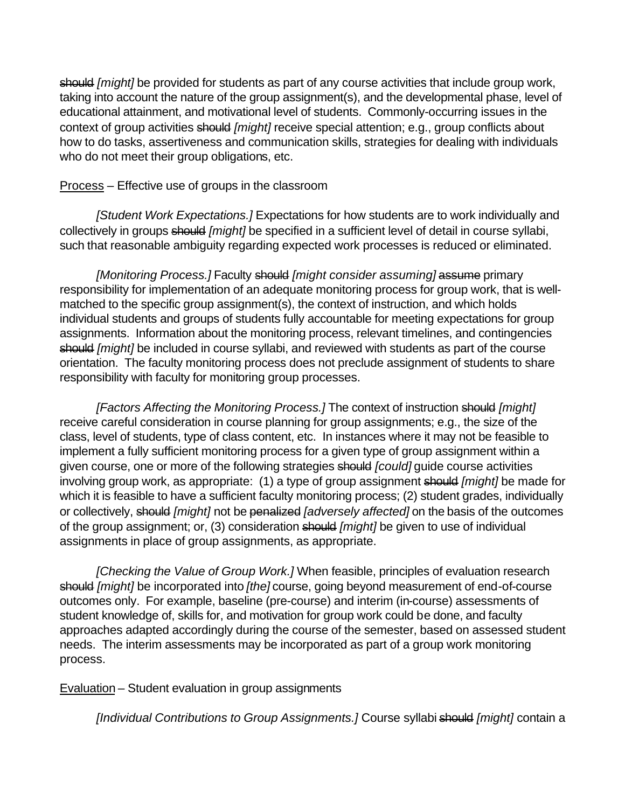should *[might]* be provided for students as part of any course activities that include group work, taking into account the nature of the group assignment(s), and the developmental phase, level of educational attainment, and motivational level of students. Commonly-occurring issues in the context of group activities should *[might]* receive special attention; e.g., group conflicts about how to do tasks, assertiveness and communication skills, strategies for dealing with individuals who do not meet their group obligations, etc.

## Process – Effective use of groups in the classroom

*[Student Work Expectations.]* Expectations for how students are to work individually and collectively in groups should *[might]* be specified in a sufficient level of detail in course syllabi, such that reasonable ambiguity regarding expected work processes is reduced or eliminated.

*[Monitoring Process.]* Faculty should *[might consider assuming]* assume primary responsibility for implementation of an adequate monitoring process for group work, that is wellmatched to the specific group assignment(s), the context of instruction, and which holds individual students and groups of students fully accountable for meeting expectations for group assignments. Information about the monitoring process, relevant timelines, and contingencies should *[might]* be included in course syllabi, and reviewed with students as part of the course orientation. The faculty monitoring process does not preclude assignment of students to share responsibility with faculty for monitoring group processes.

*[Factors Affecting the Monitoring Process.]* The context of instruction should *[might]* receive careful consideration in course planning for group assignments; e.g., the size of the class, level of students, type of class content, etc. In instances where it may not be feasible to implement a fully sufficient monitoring process for a given type of group assignment within a given course, one or more of the following strategies should *[could]* guide course activities involving group work, as appropriate: (1) a type of group assignment should *[might]* be made for which it is feasible to have a sufficient faculty monitoring process; (2) student grades, individually or collectively, should *[might]* not be penalized *[adversely affected]* on the basis of the outcomes of the group assignment; or, (3) consideration should *[might]* be given to use of individual assignments in place of group assignments, as appropriate.

*[Checking the Value of Group Work.]* When feasible, principles of evaluation research should *[might]* be incorporated into *[the]* course, going beyond measurement of end-of-course outcomes only. For example, baseline (pre-course) and interim (in-course) assessments of student knowledge of, skills for, and motivation for group work could be done, and faculty approaches adapted accordingly during the course of the semester, based on assessed student needs. The interim assessments may be incorporated as part of a group work monitoring process.

Evaluation – Student evaluation in group assignments

*[Individual Contributions to Group Assignments.]* Course syllabi should *[might]* contain a